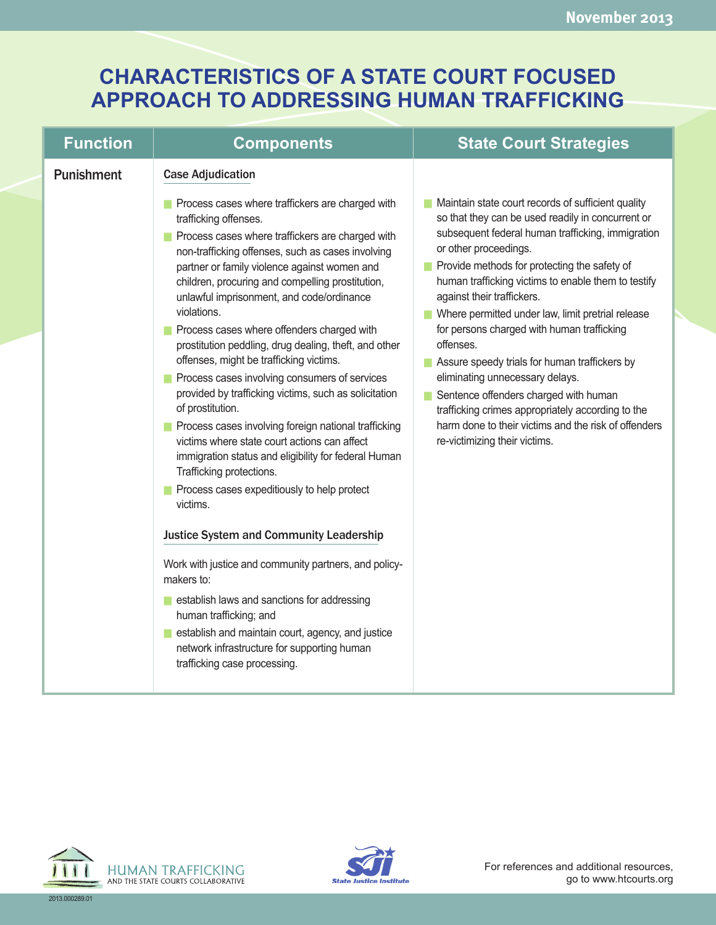## **CHARACTERISTICS OF A STATE COURT FOCUSED APPROACH TO ADDRESSING HUMAN TRAFFICKING**

| <b>Case Adjudication</b><br>Maintain state court records of sufficient quality<br>Process cases where traffickers are charged with<br>so that they can be used readily in concurrent or<br>trafficking offenses.<br>subsequent federal human trafficking, immigration<br>Process cases where traffickers are charged with<br>or other proceedings.<br>non-trafficking offenses, such as cases involving<br>$\blacksquare$ Provide methods for protecting the safety of<br>partner or family violence against women and<br>human trafficking victims to enable them to testify<br>children, procuring and compelling prostitution,                                                                                                                                                                                                                                                                                                                                                                                                                                                                                                                                                                                                                                                   | <b>Function</b>   | <b>Components</b>                         | <b>State Court Strategies</b> |
|-------------------------------------------------------------------------------------------------------------------------------------------------------------------------------------------------------------------------------------------------------------------------------------------------------------------------------------------------------------------------------------------------------------------------------------------------------------------------------------------------------------------------------------------------------------------------------------------------------------------------------------------------------------------------------------------------------------------------------------------------------------------------------------------------------------------------------------------------------------------------------------------------------------------------------------------------------------------------------------------------------------------------------------------------------------------------------------------------------------------------------------------------------------------------------------------------------------------------------------------------------------------------------------|-------------------|-------------------------------------------|-------------------------------|
| violations.<br>Where permitted under law, limit pretrial release<br>for persons charged with human trafficking<br>Process cases where offenders charged with<br>offenses.<br>prostitution peddling, drug dealing, theft, and other<br>offenses, might be trafficking victims.<br>Assure speedy trials for human traffickers by<br>Process cases involving consumers of services<br>eliminating unnecessary delays.<br>provided by trafficking victims, such as solicitation<br>Sentence offenders charged with human<br>of prostitution.<br>trafficking crimes appropriately according to the<br>harm done to their victims and the risk of offenders<br>Process cases involving foreign national trafficking<br>victims where state court actions can affect<br>re-victimizing their victims.<br>immigration status and eligibility for federal Human<br>Trafficking protections.<br>Process cases expeditiously to help protect<br>victims.<br><b>Justice System and Community Leadership</b><br>Work with justice and community partners, and policy-<br>makers to:<br>establish laws and sanctions for addressing<br>human trafficking; and<br>establish and maintain court, agency, and justice<br>network infrastructure for supporting human<br>trafficking case processing. | <b>Punishment</b> | unlawful imprisonment, and code/ordinance | against their traffickers.    |



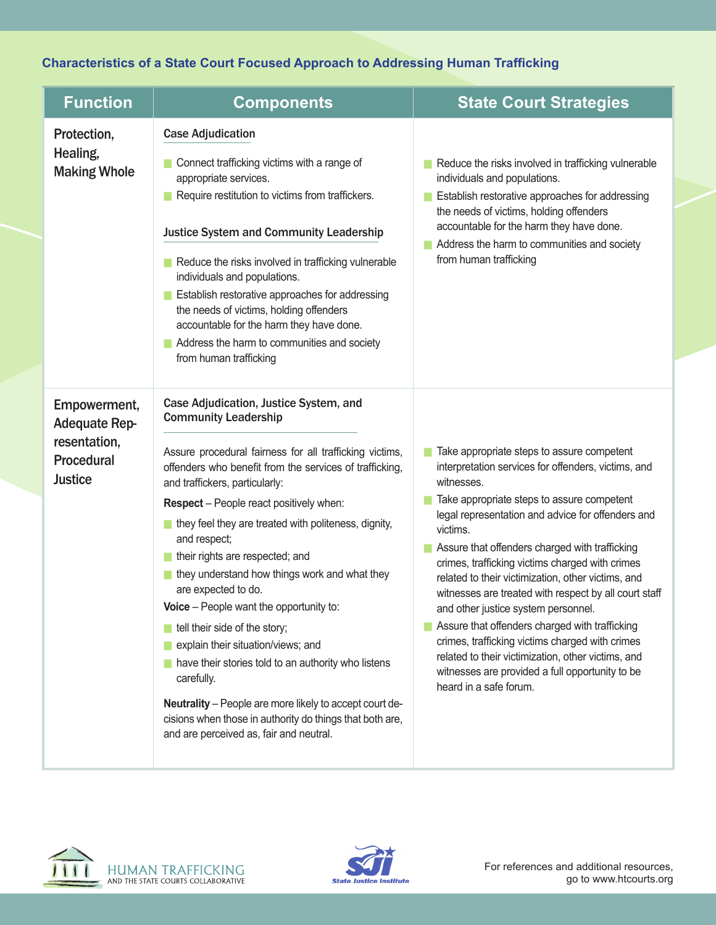## **Characteristics of a State Court Focused Approach to Addressing Human Trafficking**

| <b>Function</b>                                                                      | <b>Components</b>                                                                                                                                                                                                                                                                                                                                                                                                                                                                                                                                                                                                                                                                                                                                                                                                                          | <b>State Court Strategies</b>                                                                                                                                                                                                                                                                                                                                                                                                                                                                                                                                                                                                                                                                                                     |
|--------------------------------------------------------------------------------------|--------------------------------------------------------------------------------------------------------------------------------------------------------------------------------------------------------------------------------------------------------------------------------------------------------------------------------------------------------------------------------------------------------------------------------------------------------------------------------------------------------------------------------------------------------------------------------------------------------------------------------------------------------------------------------------------------------------------------------------------------------------------------------------------------------------------------------------------|-----------------------------------------------------------------------------------------------------------------------------------------------------------------------------------------------------------------------------------------------------------------------------------------------------------------------------------------------------------------------------------------------------------------------------------------------------------------------------------------------------------------------------------------------------------------------------------------------------------------------------------------------------------------------------------------------------------------------------------|
| Protection,<br>Healing,<br><b>Making Whole</b>                                       | <b>Case Adjudication</b><br>Connect trafficking victims with a range of<br>appropriate services.<br>Require restitution to victims from traffickers.<br><b>Justice System and Community Leadership</b><br>Reduce the risks involved in trafficking vulnerable<br>individuals and populations.<br>Establish restorative approaches for addressing<br>the needs of victims, holding offenders<br>accountable for the harm they have done.<br>Address the harm to communities and society<br>from human trafficking                                                                                                                                                                                                                                                                                                                           | Reduce the risks involved in trafficking vulnerable<br>individuals and populations.<br>Establish restorative approaches for addressing<br>the needs of victims, holding offenders<br>accountable for the harm they have done.<br>Address the harm to communities and society<br>from human trafficking                                                                                                                                                                                                                                                                                                                                                                                                                            |
| Empowerment,<br><b>Adequate Rep-</b><br>resentation,<br>Procedural<br><b>Justice</b> | Case Adjudication, Justice System, and<br><b>Community Leadership</b><br>Assure procedural fairness for all trafficking victims,<br>offenders who benefit from the services of trafficking,<br>and traffickers, particularly:<br><b>Respect</b> – People react positively when:<br>they feel they are treated with politeness, dignity,<br>and respect;<br>their rights are respected; and<br>they understand how things work and what they<br>are expected to do.<br>Voice - People want the opportunity to:<br>$\blacksquare$ tell their side of the story;<br>explain their situation/views; and<br>have their stories told to an authority who listens<br>carefully.<br>Neutrality - People are more likely to accept court de-<br>cisions when those in authority do things that both are,<br>and are perceived as, fair and neutral. | Take appropriate steps to assure competent<br>interpretation services for offenders, victims, and<br>witnesses.<br>Take appropriate steps to assure competent<br>legal representation and advice for offenders and<br>victims.<br>Assure that offenders charged with trafficking<br>crimes, trafficking victims charged with crimes<br>related to their victimization, other victims, and<br>witnesses are treated with respect by all court staff<br>and other justice system personnel.<br>Assure that offenders charged with trafficking<br>crimes, trafficking victims charged with crimes<br>related to their victimization, other victims, and<br>witnesses are provided a full opportunity to be<br>heard in a safe forum. |



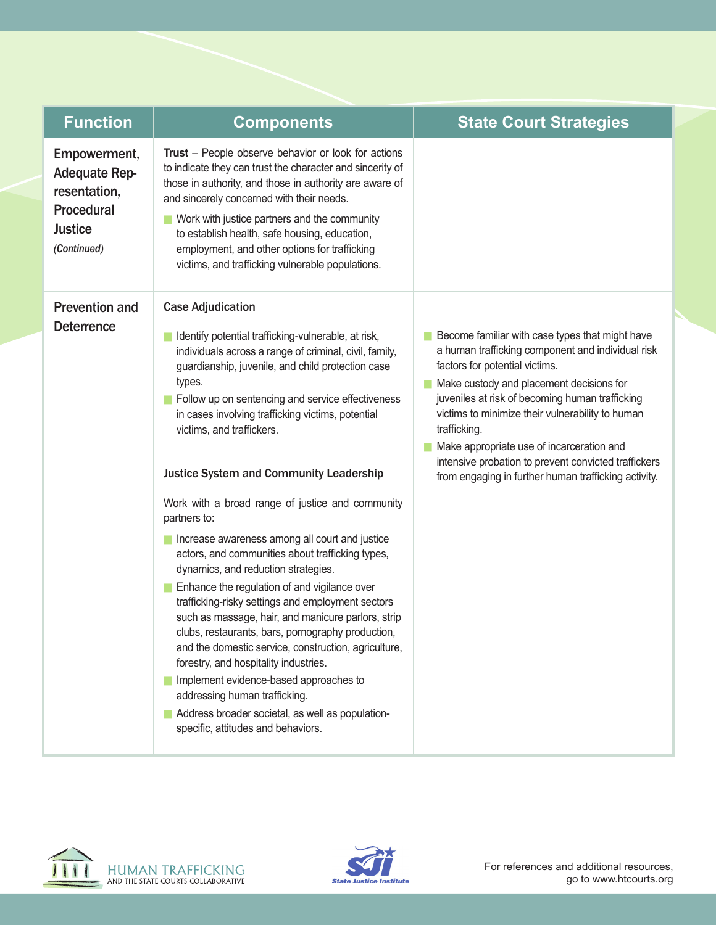| <b>Function</b>                                                                                            | <b>Components</b>                                                                                                                                                                                                                                                                                                                                                                                                                                                                                                                                                                                                                                                                                                                                                                                                                                                                                                                                                                                                                                                                                        | <b>State Court Strategies</b>                                                                                                                                                                                                                                                                                                                                                                                                                                          |
|------------------------------------------------------------------------------------------------------------|----------------------------------------------------------------------------------------------------------------------------------------------------------------------------------------------------------------------------------------------------------------------------------------------------------------------------------------------------------------------------------------------------------------------------------------------------------------------------------------------------------------------------------------------------------------------------------------------------------------------------------------------------------------------------------------------------------------------------------------------------------------------------------------------------------------------------------------------------------------------------------------------------------------------------------------------------------------------------------------------------------------------------------------------------------------------------------------------------------|------------------------------------------------------------------------------------------------------------------------------------------------------------------------------------------------------------------------------------------------------------------------------------------------------------------------------------------------------------------------------------------------------------------------------------------------------------------------|
| Empowerment,<br><b>Adequate Rep-</b><br>resentation,<br><b>Procedural</b><br><b>Justice</b><br>(Continued) | <b>Trust</b> – People observe behavior or look for actions<br>to indicate they can trust the character and sincerity of<br>those in authority, and those in authority are aware of<br>and sincerely concerned with their needs.<br>Work with justice partners and the community<br>to establish health, safe housing, education,<br>employment, and other options for trafficking<br>victims, and trafficking vulnerable populations.                                                                                                                                                                                                                                                                                                                                                                                                                                                                                                                                                                                                                                                                    |                                                                                                                                                                                                                                                                                                                                                                                                                                                                        |
| <b>Prevention and</b><br><b>Deterrence</b>                                                                 | <b>Case Adjudication</b><br>Identify potential trafficking-vulnerable, at risk,<br>individuals across a range of criminal, civil, family,<br>guardianship, juvenile, and child protection case<br>types.<br>Follow up on sentencing and service effectiveness<br>in cases involving trafficking victims, potential<br>victims, and traffickers.<br><b>Justice System and Community Leadership</b><br>Work with a broad range of justice and community<br>partners to:<br>Increase awareness among all court and justice<br>actors, and communities about trafficking types,<br>dynamics, and reduction strategies.<br>Enhance the regulation of and vigilance over<br>trafficking-risky settings and employment sectors<br>such as massage, hair, and manicure parlors, strip<br>clubs, restaurants, bars, pornography production,<br>and the domestic service, construction, agriculture,<br>forestry, and hospitality industries.<br>Implement evidence-based approaches to<br>addressing human trafficking.<br>Address broader societal, as well as population-<br>specific, attitudes and behaviors. | Become familiar with case types that might have<br>a human trafficking component and individual risk<br>factors for potential victims.<br>Make custody and placement decisions for<br>juveniles at risk of becoming human trafficking<br>victims to minimize their vulnerability to human<br>trafficking.<br>Make appropriate use of incarceration and<br>intensive probation to prevent convicted traffickers<br>from engaging in further human trafficking activity. |